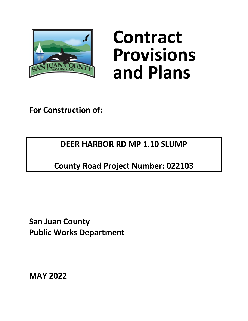

# **Contract Provisions and Plans**

**For Construction of:**

**DEER HARBOR RD MP 1.10 SLUMP**

**County Road Project Number: 022103**

**San Juan County Public Works Department**

**MAY 2022**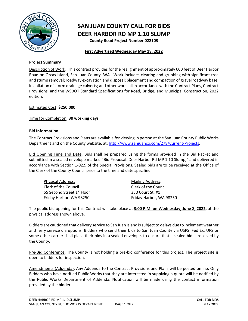

### **SAN JUAN COUNTY CALL FOR BIDS DEER HARBOR RD MP 1.10 SLUMP**

**County Road Project Number 022103**

#### **First Advertised Wednesday May 18, 2022**

#### **Project Summary**

Description of Work: This contract provides for the realignment of approximately 600 feet of Deer Harbor Road on Orcas Island, San Juan County, WA. Work includes clearing and grubbing with significant tree and stump removal; roadway excavation and disposal; placement and compaction of gravel roadway base; installation of storm drainage culverts; and other work, all in accordance with the Contract Plans, Contract Provisions, and the WSDOT Standard Specifications for Road, Bridge, and Municipal Construction, 2022 edition.

#### Estimated Cost: **\$250,000**

#### Time for Completion: **30 working days**

#### **Bid Information**

The Contract Provisions and Plans are available for viewing in person at the San Juan County Public Works Department and on the County website, at: [http://www.sanjuanco.com/278/Current-Projects.](http://www.sanjuanco.com/278/Current-Projects)

Bid Opening Time and Date: Bids shall be prepared using the forms provided in the Bid Packet and submitted in a sealed envelope marked "Bid Proposal: Deer Harbor Rd MP 1.10 Slump," and delivered in accordance with Section 1-02.9 of the Special Provisions. Sealed bids are to be received at the Office of the Clerk of the County Council prior to the time and date specified.

| <b>Physical Address:</b>   | <b>Mailing Address:</b> |
|----------------------------|-------------------------|
| Clerk of the Council       | Clerk of the Council    |
| 55 Second Street 1st Floor | 350 Court St. #1        |
| Friday Harbor, WA 98250    | Friday Harbor, WA 98250 |

The public bid opening for this Contract will take place at **3:00 P.M. on Wednesday, June 8, 2022**, at the physical address shown above.

Bidders are cautioned that delivery service to San Juan Island is subject to delays due to inclement weather and ferry service disruptions. Bidders who send their bids to San Juan County via USPS, Fed Ex, UPS or some other carrier shall place their bids in a sealed envelope, to ensure that a sealed bid is received by the County.

Pre-Bid Conference: The County is not holding a pre-bid conference for this project. The project site is open to bidders for inspection.

Amendments (Addenda): Any Addenda to the Contract Provisions and Plans will be posted online. Only Bidders who have notified Public Works that they are interested in supplying a quote will be notified by the Public Works Department of Addenda. Notification will be made using the contact information provided by the bidder.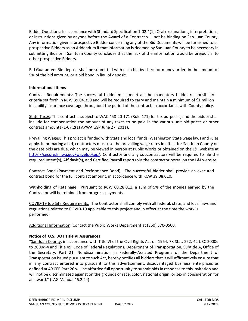Bidder Questions: In accordance with Standard Specification 1-02.4(1): Oral explanations, interpretations, or instructions given by anyone before the Award of a Contract will not be binding on San Juan County. Any information given a prospective Bidder concerning any of the Bid Documents will be furnished to all prospective Bidders as an Addendum if that information is deemed by San Juan County to be necessary in submitting Bids or if San Juan County concludes that the lack of the information would be prejudicial to other prospective Bidders.

Bid Guarantee: Bid deposit shall be submitted with each bid by check or money order, in the amount of 5% of the bid amount, or a bid bond in lieu of deposit.

#### **Informational Items**

Contract Requirements: The successful bidder must meet all the mandatory bidder responsibility criteria set forth in RCW 39.04.350 and will be required to carry and maintain a minimum of \$1 million in liability insurance coverage throughout the period of the contract, in accordance with County policy.

State Taxes: This contract is subject to WAC 458-20-171 (Rule 171) for tax purposes, and the bidder shall include for compensation the amount of any taxes to be paid in the various unit bid prices or other contract amounts (1-07.2(1) APWA GSP June 27, 2011).

Prevailing Wages: This project is funded with State and local funds; Washington State wage laws and rules apply. In preparing a bid, contractors must use the prevailing wage rates in effect for San Juan County on the date bids are due, which may be viewed in person at Public Works or obtained on the L&I website at [https://secure.lni.wa.gov/wagelookup/.](https://secure.lni.wa.gov/wagelookup/) Contractor and any subcontractors will be required to file the required Intent(s), Affidavit(s), and Certified Payroll reports via the contractor portal on the L&I website.

Contract Bond (Payment and Performance Bond): The successful bidder shall provide an executed contract bond for the full contract amount, in accordance with RCW 39.08.010.

Withholding of Retainage: Pursuant to RCW 60.28.011, a sum of 5% of the monies earned by the Contractor will be retained from progress payments.

COVID-19 Job Site Requirements: The Contractor shall comply with all federal, state, and local laws and regulations related to COVID-19 applicable to this project and in effect at the time the work is performed.

Additional Information: Contact the Public Works Department at (360) 370-0500.

#### **Notice of U.S. DOT Title VI Assurances**

"San Juan County, in accordance with Title VI of the Civil Rights Act of 1964, 78 Stat. 252, 42 USC 2000d to 2000d-4 and Title 49, Code of Federal Regulations, Department of Transportation, Subtitle A, Office of the Secretary, Part 21, Nondiscrimination in Federally-Assisted Programs of the Department of Transportation issued pursuant to such Act, hereby notifies all bidders that it will affirmatively ensure that in any contract entered into pursuant to this advertisement, disadvantaged business enterprises as defined at 49 CFR Part 26 will be afforded full opportunity to submit bids in response to this invitation and will not be discriminated against on the grounds of race, color, national origin, or sex in consideration for an award." (LAG Manual 46.2.24)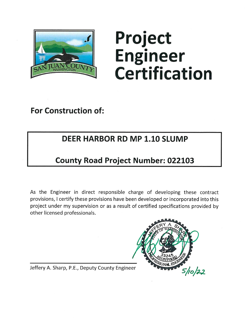

# Project **Engineer Certification**

**For Construction of:** 

# **DEER HARBOR RD MP 1.10 SLUMP**

# **County Road Project Number: 022103**

As the Engineer in direct responsible charge of developing these contract provisions, I certify these provisions have been developed or incorporated into this project under my supervision or as a result of certified specifications provided by other licensed professionals.



Jeffery A. Sharp, P.E., Deputy County Engineer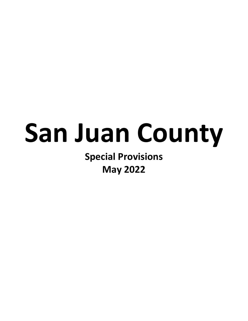# **San Juan County**

**Special Provisions May 2022**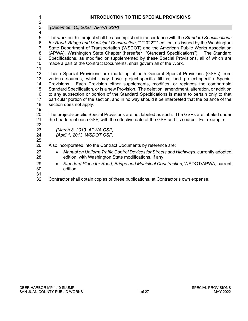| 1<br>$\overline{2}$                                                              | <b>INTRODUCTION TO THE SPECIAL PROVISIONS</b>                                                                                                                                                                                                                                                                                                                                                                                                                                                                                                                                                            |
|----------------------------------------------------------------------------------|----------------------------------------------------------------------------------------------------------------------------------------------------------------------------------------------------------------------------------------------------------------------------------------------------------------------------------------------------------------------------------------------------------------------------------------------------------------------------------------------------------------------------------------------------------------------------------------------------------|
| $\ensuremath{\mathsf{3}}$                                                        | (December 10, 2020 APWA GSP)                                                                                                                                                                                                                                                                                                                                                                                                                                                                                                                                                                             |
| $\overline{\mathcal{A}}$<br>5<br>6<br>$\overline{7}$<br>$\bf 8$<br>9<br>10<br>11 | The work on this project shall be accomplished in accordance with the Standard Specifications<br>for Road, Bridge and Municipal Construction, *** 2022*** edition, as issued by the Washington<br>State Department of Transportation (WSDOT) and the American Public Works Association<br>(APWA), Washington State Chapter (hereafter "Standard Specifications"). The Standard<br>Specifications, as modified or supplemented by these Special Provisions, all of which are<br>made a part of the Contract Documents, shall govern all of the Work.                                                      |
| 12<br>13<br>14<br>15<br>16<br>17<br>18<br>19                                     | These Special Provisions are made up of both General Special Provisions (GSPs) from<br>various sources, which may have project-specific fill-ins; and project-specific Special<br>Provisions. Each Provision either supplements, modifies, or replaces the comparable<br>Standard Specification, or is a new Provision. The deletion, amendment, alteration, or addition<br>to any subsection or portion of the Standard Specifications is meant to pertain only to that<br>particular portion of the section, and in no way should it be interpreted that the balance of the<br>section does not apply. |
| 20<br>21                                                                         | The project-specific Special Provisions are not labeled as such. The GSPs are labeled under<br>the headers of each GSP, with the effective date of the GSP and its source. For example:                                                                                                                                                                                                                                                                                                                                                                                                                  |
| 22<br>23<br>24<br>25                                                             | (March 8, 2013 APWA GSP)<br>(April 1, 2013 WSDOT GSP)                                                                                                                                                                                                                                                                                                                                                                                                                                                                                                                                                    |
| 26                                                                               | Also incorporated into the Contract Documents by reference are:                                                                                                                                                                                                                                                                                                                                                                                                                                                                                                                                          |
| 27<br>28                                                                         | Manual on Uniform Traffic Control Devices for Streets and Highways, currently adopted<br>$\bullet$<br>edition, with Washington State modifications, if any                                                                                                                                                                                                                                                                                                                                                                                                                                               |
| 29<br>30<br>31                                                                   | Standard Plans for Road, Bridge and Municipal Construction, WSDOT/APWA, current<br>$\bullet$<br>edition                                                                                                                                                                                                                                                                                                                                                                                                                                                                                                  |
| 32                                                                               | Contractor shall obtain copies of these publications, at Contractor's own expense.                                                                                                                                                                                                                                                                                                                                                                                                                                                                                                                       |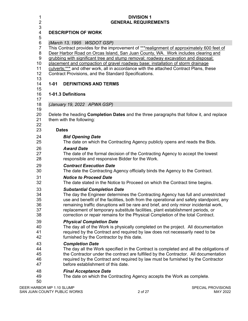| 1<br>$\overline{c}$<br>3                                                                       | <b>DIVISION 1</b><br><b>GENERAL REQUIREMENTS</b>                                                                                                                                                                                                                                                                                                                                                                                                                                                                                                                                                           |
|------------------------------------------------------------------------------------------------|------------------------------------------------------------------------------------------------------------------------------------------------------------------------------------------------------------------------------------------------------------------------------------------------------------------------------------------------------------------------------------------------------------------------------------------------------------------------------------------------------------------------------------------------------------------------------------------------------------|
| $\overline{\mathbf{4}}$<br>5                                                                   | <b>DESCRIPTION OF WORK</b>                                                                                                                                                                                                                                                                                                                                                                                                                                                                                                                                                                                 |
| $\,6$<br>$\overline{7}$<br>8<br>9<br>10 <sup>°</sup><br>11<br>12<br>13<br>14<br>15<br>16<br>17 | (March 13, 1995 WSDOT GSP)<br>This Contract provides for the improvement of ***realignment of approximately 600 feet of<br>Deer Harbor Road on Orcas Island, San Juan County, WA. Work includes clearing and<br>grubbing with significant tree and stump removal; roadway excavation and disposal;<br>placement and compaction of gravel roadway base; installation of storm drainage<br>culverts;*** and other work, all in accordance with the attached Contract Plans, these<br>Contract Provisions, and the Standard Specifications.<br>$1 - 01$<br><b>DEFINITIONS AND TERMS</b><br>1-01.3 Definitions |
| 18                                                                                             | (January 19, 2022 APWA GSP)                                                                                                                                                                                                                                                                                                                                                                                                                                                                                                                                                                                |
| 19<br>20<br>21<br>22                                                                           | Delete the heading <b>Completion Dates</b> and the three paragraphs that follow it, and replace<br>them with the following:                                                                                                                                                                                                                                                                                                                                                                                                                                                                                |
| 23                                                                                             | <b>Dates</b>                                                                                                                                                                                                                                                                                                                                                                                                                                                                                                                                                                                               |
| 24                                                                                             | <b>Bid Opening Date</b>                                                                                                                                                                                                                                                                                                                                                                                                                                                                                                                                                                                    |
| 25                                                                                             | The date on which the Contracting Agency publicly opens and reads the Bids.                                                                                                                                                                                                                                                                                                                                                                                                                                                                                                                                |
| 26                                                                                             | <b>Award Date</b>                                                                                                                                                                                                                                                                                                                                                                                                                                                                                                                                                                                          |
| 27                                                                                             | The date of the formal decision of the Contracting Agency to accept the lowest                                                                                                                                                                                                                                                                                                                                                                                                                                                                                                                             |
| 28                                                                                             | responsible and responsive Bidder for the Work.                                                                                                                                                                                                                                                                                                                                                                                                                                                                                                                                                            |
| 29                                                                                             | <b>Contract Execution Date</b>                                                                                                                                                                                                                                                                                                                                                                                                                                                                                                                                                                             |
| 30                                                                                             | The date the Contracting Agency officially binds the Agency to the Contract.                                                                                                                                                                                                                                                                                                                                                                                                                                                                                                                               |
| 31                                                                                             | <b>Notice to Proceed Date</b>                                                                                                                                                                                                                                                                                                                                                                                                                                                                                                                                                                              |
| 32                                                                                             | The date stated in the Notice to Proceed on which the Contract time begins.                                                                                                                                                                                                                                                                                                                                                                                                                                                                                                                                |
| 33                                                                                             | <b>Substantial Completion Date</b>                                                                                                                                                                                                                                                                                                                                                                                                                                                                                                                                                                         |
| 34                                                                                             | The day the Engineer determines the Contracting Agency has full and unrestricted                                                                                                                                                                                                                                                                                                                                                                                                                                                                                                                           |
| 35                                                                                             | use and benefit of the facilities, both from the operational and safety standpoint, any                                                                                                                                                                                                                                                                                                                                                                                                                                                                                                                    |
| 36                                                                                             | remaining traffic disruptions will be rare and brief, and only minor incidental work,                                                                                                                                                                                                                                                                                                                                                                                                                                                                                                                      |
| 37                                                                                             | replacement of temporary substitute facilities, plant establishment periods, or                                                                                                                                                                                                                                                                                                                                                                                                                                                                                                                            |
| 38                                                                                             | correction or repair remains for the Physical Completion of the total Contract.                                                                                                                                                                                                                                                                                                                                                                                                                                                                                                                            |
| 39                                                                                             | <b>Physical Completion Date</b>                                                                                                                                                                                                                                                                                                                                                                                                                                                                                                                                                                            |
| 40                                                                                             | The day all of the Work is physically completed on the project. All documentation                                                                                                                                                                                                                                                                                                                                                                                                                                                                                                                          |
| 41                                                                                             | required by the Contract and required by law does not necessarily need to be                                                                                                                                                                                                                                                                                                                                                                                                                                                                                                                               |
| 42                                                                                             | furnished by the Contractor by this date.                                                                                                                                                                                                                                                                                                                                                                                                                                                                                                                                                                  |
| 43                                                                                             | <b>Completion Date</b>                                                                                                                                                                                                                                                                                                                                                                                                                                                                                                                                                                                     |
| 44                                                                                             | The day all the Work specified in the Contract is completed and all the obligations of                                                                                                                                                                                                                                                                                                                                                                                                                                                                                                                     |
| 45                                                                                             | the Contractor under the contract are fulfilled by the Contractor. All documentation                                                                                                                                                                                                                                                                                                                                                                                                                                                                                                                       |
| 46                                                                                             | required by the Contract and required by law must be furnished by the Contractor                                                                                                                                                                                                                                                                                                                                                                                                                                                                                                                           |
| 47                                                                                             | before establishment of this date.                                                                                                                                                                                                                                                                                                                                                                                                                                                                                                                                                                         |
| 48<br>49<br>50                                                                                 | <b>Final Acceptance Date</b><br>The date on which the Contracting Agency accepts the Work as complete.                                                                                                                                                                                                                                                                                                                                                                                                                                                                                                     |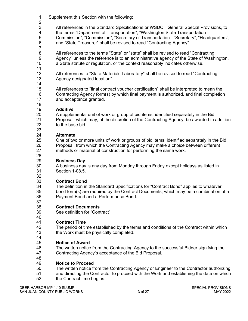- Supplement this Section with the following:
- $\frac{2}{3}$  All references in the Standard Specifications or WSDOT General Special Provisions, to the terms "Department of Transportation", "Washington State Transportation 5 Commission", "Commission", "Secretary of Transportation", "Secretary", "Headquarters", 6 and "State Treasurer" shall be revised to read "Contracting Agency".
	- and "State Treasurer" shall be revised to read "Contracting Agency".
- All references to the terms "State" or "state" shall be revised to read "Contracting Agency" unless the reference is to an administrative agency of the State of Washington, a State statute or regulation, or the context reasonably indicates otherwise.
- 

 All references to "State Materials Laboratory" shall be revised to read "Contracting Agency designated location".

 All references to "final contract voucher certification" shall be interpreted to mean the Contracting Agency form(s) by which final payment is authorized, and final completion and acceptance granted.

 **Additive**  A supplemental unit of work or group of bid items, identified separately in the Bid Proposal, which may, at the discretion of the Contracting Agency, be awarded in addition to the base bid.

#### **Alternate**

25 One of two or more units of work or groups of bid items, identified separately in the Bid<br>26 Proposal, from which the Contracting Agency may make a choice between different Proposal, from which the Contracting Agency may make a choice between different methods or material of construction for performing the same work.

#### **Business Day**

 A business day is any day from Monday through Friday except holidays as listed in Section 1-08.5.

32<br>33

# **Contract Bond**

The definition in the Standard Specifications for "Contract Bond" applies to whatever bond form(s) are required by the Contract Documents, which may be a combination of a Payment Bond and a Performance Bond.

- **Contract Documents**
- See definition for "Contract".

# 40<br>41

 **Contract Time**  The period of time established by the terms and conditions of the Contract within which the Work must be physically completed.

#### **Notice of Award**

- The written notice from the Contracting Agency to the successful Bidder signifying the
- Contracting Agency's acceptance of the Bid Proposal.
- 

# **Notice to Proceed**

- The written notice from the Contracting Agency or Engineer to the Contractor authorizing
- and directing the Contractor to proceed with the Work and establishing the date on which
- the Contract time begins.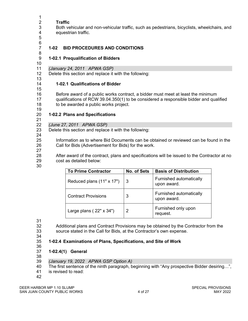**Traffic**  Both vehicular and non-vehicular traffic, such as pedestrians, bicyclists, wheelchairs, and equestrian traffic.

 6<br>7

 $\frac{1}{2}$ 

#### **1-02 BID PROCEDURES AND CONDITIONS**

#### **1-02.1 Prequalification of Bidders**

*(January 24, 2011 APWA GSP)*

Delete this section and replace it with the following:

#### **1-02.1 Qualifications of Bidder**

 Before award of a public works contract, a bidder must meet at least the minimum qualifications of RCW 39.04.350(1) to be considered a responsible bidder and qualified to be awarded a public works project.

#### **1-02.2 Plans and Specifications**

21<br>22 *(June 27, 2011 APWA GSP)*

Delete this section and replace it with the following:

24<br>25

Information as to where Bid Documents can be obtained or reviewed can be found in the Call for Bids (Advertisement for Bids) for the work.

 After award of the contract, plans and specifications will be issued to the Contractor at no cost as detailed below:

| <b>To Prime Contractor</b>     | <b>No. of Sets</b> | <b>Basis of Distribution</b>           |
|--------------------------------|--------------------|----------------------------------------|
| Reduced plans (11" x 17")      | 3                  | Furnished automatically<br>upon award. |
| <b>Contract Provisions</b>     | 3                  | Furnished automatically<br>upon award. |
| Large plans $(22" \times 34")$ | 2                  | Furnished only upon<br>request.        |

 Additional plans and Contract Provisions may be obtained by the Contractor from the source stated in the Call for Bids, at the Contractor's own expense.

#### **1-02.4 Examinations of Plans, Specifications, and Site of Work**

 **1-02.4(1) General**

38<br>39

- *(January 19, 2022 APWA GSP Option A)*
- The first sentence of the ninth paragraph, beginning with "Any prospective Bidder desiring…",
- is revised to read:
-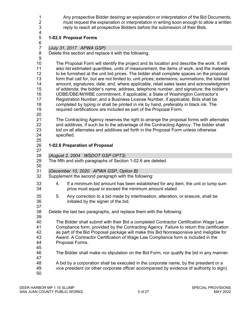1 Any prospective Bidder desiring an explanation or interpretation of the Bid Documents,<br>2 must request the explanation or interpretation in writing soon enough to allow a written 2 must request the explanation or interpretation in writing soon enough to allow a written<br>3 second reach all prospective Bidders before the submission of their Bids. reply to reach all prospective Bidders before the submission of their Bids.

#### **1-02.5 Proposal Forms**

6<br>7

*(July 31, 2017 APWA GSP)*

Delete this section and replace it with the following:

 The Proposal Form will identify the project and its location and describe the work. It will also list estimated quantities, units of measurement, the items of work, and the materials to be furnished at the unit bid prices. The bidder shall complete spaces on the proposal form that call for, but are not limited to, unit prices; extensions; summations; the total bid amount; signatures; date; and, where applicable, retail sales taxes and acknowledgment of addenda; the bidder's name, address, telephone number, and signature; the bidder's UDBE/DBE/M/WBE commitment, if applicable; a State of Washington Contractor's Registration Number; and a Business License Number, if applicable. Bids shall be completed by typing or shall be printed in ink by hand, preferably in black ink. The required certifications are included as part of the Proposal Form.

 21 The Contracting Agency reserves the right to arrange the proposal forms with alternates<br>22 and additives, if such be to the advantage of the Contracting Agency. The bidder shall and additives, if such be to the advantage of the Contracting Agency. The bidder shall bid on all alternates and additives set forth in the Proposal Form unless otherwise specified.

#### 25<br>26 **1-02.6 Preparation of Proposal**

- 
- *(August 2, 2004 WSDOT GSP OPT3)*
- The fifth and sixth paragraphs of Section 1-02.6 are deleted.
- *(December 10, 2020 APWA GSP, Option B)*
- Supplement the second paragraph with the following:
- 4. If a minimum bid amount has been established for any item, the unit or lump sum price must equal or exceed the minimum amount stated.
- 5. Any correction to a bid made by interlineation, alteration, or erasure, shall be initialed by the signer of the bid.
- Delete the last two paragraphs, and replace them with the following:
- The Bidder shall submit with their Bid a completed Contractor Certification Wage Law Compliance form, provided by the Contracting Agency. Failure to return this certification as part of the Bid Proposal package will make this Bid Nonresponsive and ineligible for Award. A Contractor Certification of Wage Law Compliance form is included in the Proposal Forms.
- 

- The Bidder shall make no stipulation on the Bid Form, nor qualify the bid in any manner.
- 47<br>48
	-
	- A bid by a corporation shall be executed in the corporate name, by the president or a
- vice president (or other corporate officer accompanied by evidence of authority to sign).
-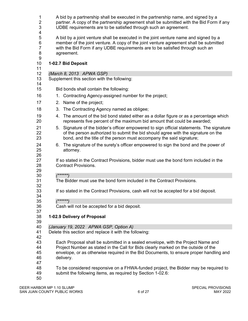| 1<br>2<br>3                             | A bid by a partnership shall be executed in the partnership name, and signed by a<br>partner. A copy of the partnership agreement shall be submitted with the Bid Form if any<br>UDBE requirements are to be satisfied through such an agreement.                             |
|-----------------------------------------|-------------------------------------------------------------------------------------------------------------------------------------------------------------------------------------------------------------------------------------------------------------------------------|
| 4<br>5<br>6<br>$\overline{7}$<br>8<br>9 | A bid by a joint venture shall be executed in the joint venture name and signed by a<br>member of the joint venture. A copy of the joint venture agreement shall be submitted<br>with the Bid Form if any UDBE requirements are to be satisfied through such an<br>agreement. |
| 10<br>11                                | 1-02.7 Bid Deposit                                                                                                                                                                                                                                                            |
| 12                                      | (March 8, 2013 APWA GSP)                                                                                                                                                                                                                                                      |
| 13<br>14                                | Supplement this section with the following:                                                                                                                                                                                                                                   |
| 15                                      | Bid bonds shall contain the following:                                                                                                                                                                                                                                        |
| 16                                      | 1. Contracting Agency-assigned number for the project;                                                                                                                                                                                                                        |
| 17                                      | 2. Name of the project;                                                                                                                                                                                                                                                       |
| 18                                      | 3. The Contracting Agency named as obligee;                                                                                                                                                                                                                                   |
|                                         |                                                                                                                                                                                                                                                                               |
| 19<br>20                                | 4. The amount of the bid bond stated either as a dollar figure or as a percentage which<br>represents five percent of the maximum bid amount that could be awarded;                                                                                                           |
| 21<br>22<br>23                          | 5. Signature of the bidder's officer empowered to sign official statements. The signature<br>of the person authorized to submit the bid should agree with the signature on the<br>bond, and the title of the person must accompany the said signature;                        |
| 24<br>25<br>26                          | 6. The signature of the surety's officer empowered to sign the bond and the power of<br>attorney.                                                                                                                                                                             |
| 27<br>28<br>29                          | If so stated in the Contract Provisions, bidder must use the bond form included in the<br><b>Contract Provisions.</b>                                                                                                                                                         |
| 30                                      | $(*****")$                                                                                                                                                                                                                                                                    |
| 31<br>32                                | The Bidder must use the bond form included in the Contract Provisions.                                                                                                                                                                                                        |
| 33<br>34                                | If so stated in the Contract Provisions, cash will not be accepted for a bid deposit.                                                                                                                                                                                         |
| 35                                      | $(******)$                                                                                                                                                                                                                                                                    |
| 36<br>37                                | Cash will not be accepted for a bid deposit.                                                                                                                                                                                                                                  |
| 38<br>39                                | 1-02.9 Delivery of Proposal                                                                                                                                                                                                                                                   |
| 40                                      | (January 19, 2022 APWA GSP, Option A)                                                                                                                                                                                                                                         |
| 41<br>42                                | Delete this section and replace it with the following:                                                                                                                                                                                                                        |
| 43<br>44<br>45<br>46<br>47              | Each Proposal shall be submitted in a sealed envelope, with the Project Name and<br>Project Number as stated in the Call for Bids clearly marked on the outside of the<br>envelope, or as otherwise required in the Bid Documents, to ensure proper handling and<br>delivery. |
| 48<br>49<br>50                          | To be considered responsive on a FHWA-funded project, the Bidder may be required to<br>submit the following items, as required by Section 1-02.6:                                                                                                                             |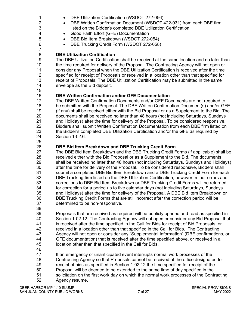- 1 DBE Utilization Certification (WSDOT 272-056)
- 2 **•** DBE Written Confirmation Document (WSDOT 422-031) from each DBE firm listed on the Bidder's completed DBE Utilization Certification listed on the Bidder's completed DBE Utilization Certification
- Good Faith Effort (GFE) Documentation
- DBE Bid Item Breakdown (WSDOT 272-054)
- DBE Trucking Credit Form (WSDOT 272-058)

#### **DBE Utilization Certification**

 The DBE Utilization Certification shall be received at the same location and no later than the time required for delivery of the Proposal. The Contracting Agency will not open or consider any Proposal when the DBE Utilization Certification is received after the time 12 specified for receipt of Proposals or received in a location other than that specified for<br>13 feceipt of Proposals. The DBE Utilization Certification may be submitted in the same receipt of Proposals. The DBE Utilization Certification may be submitted in the same envelope as the Bid deposit.

#### **DBE Written Confirmation and/or GFE Documentation**

17 The DBE Written Confirmation Documents and/or GFE Documents are not required to<br>18 be submitted with the Proposal. The DBE Written Confirmation Document(s) and/or GF be submitted with the Proposal. The DBE Written Confirmation Document(s) and/or GFE (if any) shall be received either with the Bid Proposal or as a Supplement to the Bid. The documents shall be received no later than 48 hours (not including Saturdays, Sundays and Holidays) after the time for delivery of the Proposal. To be considered responsive, 22 Bidders shall submit Written Confirmation Documentation from each DBE firm listed on<br>23 the Bidder's completed DBE Utilization Certification and/or the GFE as required by the Bidder's completed DBE Utilization Certification and/or the GFE as required by Section 1-02.6.

## **DBE Bid Item Breakdown and DBE Trucking Credit Form**

 The DBE Bid Item Breakdown and the DBE Trucking Credit Forms (if applicable) shall be received either with the Bid Proposal or as a Supplement to the Bid. The documents shall be received no later than 48 hours (not including Saturdays, Sundays and Holidays) after the time for delivery of the Proposal. To be considered responsive, Bidders shall submit a completed DBE Bid Item Breakdown and a DBE Trucking Credit Form for each 32 DBE Trucking firm listed on the DBE Utilization Certification, however, minor errors and<br>33 corrections to DBE Bid Item Breakdown or DBE Trucking Credit Forms will be returned corrections to DBE Bid Item Breakdown or DBE Trucking Credit Forms will be returned for correction for a period up to five calendar days (not including Saturdays, Sundays and Holidays) after the time for delivery of the Proposal. A DBE Bid Item Breakdown or DBE Trucking Credit Forms that are still incorrect after the correction period will be determined to be non-responsive.

 Proposals that are received as required will be publicly opened and read as specified in Section 1-02.12. The Contracting Agency will not open or consider any Bid Proposal that is received after the time specified in the Call for Bids for receipt of Bid Proposals, or received in a location other than that specified in the Call for Bids. The Contracting Agency will not open or consider any "Supplemental Information" (DBE confirmations, or GFE documentation) that is received after the time specified above, or received in a location other than that specified in the Call for Bids.

47 If an emergency or unanticipated event interrupts normal work processes of the<br>48 Contracting Agency so that Proposals cannot be received at the office designate

- Contracting Agency so that Proposals cannot be received at the office designated for
- receipt of bids as specified in Section 1-02.12 the time specified for receipt of the
- Proposal will be deemed to be extended to the same time of day specified in the
- solicitation on the first work day on which the normal work processes of the Contracting Agency resume.

DEER HARBOR MP 1.10 SLUMP SPECIAL PROVISIONS SAN JUAN COUNTY PUBLIC WORKS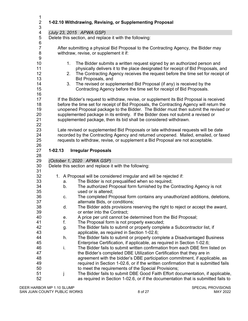| $\mathbf{1}$<br>$\overline{2}$<br>3 |             | 1-02.10 Withdrawing, Revising, or Supplementing Proposal                                                                                                            |
|-------------------------------------|-------------|---------------------------------------------------------------------------------------------------------------------------------------------------------------------|
| 4                                   |             | (July 23, 2015 APWA GSP)                                                                                                                                            |
| 5                                   |             | Delete this section, and replace it with the following:                                                                                                             |
| 6                                   |             |                                                                                                                                                                     |
| $\overline{7}$                      |             | After submitting a physical Bid Proposal to the Contracting Agency, the Bidder may                                                                                  |
| 8                                   |             | withdraw, revise, or supplement it if:                                                                                                                              |
| $\boldsymbol{9}$                    |             |                                                                                                                                                                     |
| 10                                  | 1.          | The Bidder submits a written request signed by an authorized person and                                                                                             |
| 11<br>12                            |             | physically delivers it to the place designated for receipt of Bid Proposals, and                                                                                    |
| 13                                  | 2.          | The Contracting Agency receives the request before the time set for receipt of<br>Bid Proposals, and                                                                |
| 14                                  | 3.          | The revised or supplemented Bid Proposal (if any) is received by the                                                                                                |
| 15                                  |             | Contracting Agency before the time set for receipt of Bid Proposals.                                                                                                |
| 16                                  |             |                                                                                                                                                                     |
| 17                                  |             | If the Bidder's request to withdraw, revise, or supplement its Bid Proposal is received                                                                             |
| 18                                  |             | before the time set for receipt of Bid Proposals, the Contracting Agency will return the                                                                            |
| 19                                  |             | unopened Proposal package to the Bidder. The Bidder must then submit the revised or                                                                                 |
| 20                                  |             | supplemented package in its entirety. If the Bidder does not submit a revised or                                                                                    |
| 21                                  |             | supplemented package, then its bid shall be considered withdrawn.                                                                                                   |
| 22                                  |             |                                                                                                                                                                     |
| 23                                  |             | Late revised or supplemented Bid Proposals or late withdrawal requests will be date                                                                                 |
| 24<br>25                            |             | recorded by the Contracting Agency and returned unopened. Mailed, emailed, or faxed                                                                                 |
| 26                                  |             | requests to withdraw, revise, or supplement a Bid Proposal are not acceptable.                                                                                      |
| 27                                  | $1 - 02.13$ |                                                                                                                                                                     |
|                                     |             |                                                                                                                                                                     |
| 28                                  |             | <b>Irregular Proposals</b>                                                                                                                                          |
| 29                                  |             | (October 1, 2020 APWA GSP)                                                                                                                                          |
| 30                                  |             | Delete this section and replace it with the following:                                                                                                              |
| 31                                  |             |                                                                                                                                                                     |
| 32                                  |             | 1. A Proposal will be considered irregular and will be rejected if:                                                                                                 |
| 33                                  | a.          | The Bidder is not prequalified when so required;                                                                                                                    |
| 34                                  | b.          | The authorized Proposal form furnished by the Contracting Agency is not                                                                                             |
| 35                                  |             | used or is altered;                                                                                                                                                 |
| 36                                  | C.          | The completed Proposal form contains any unauthorized additions, deletions,                                                                                         |
| 37                                  |             | alternate Bids, or conditions;                                                                                                                                      |
| 38<br>39                            | d.          | The Bidder adds provisions reserving the right to reject or accept the award,<br>or enter into the Contract;                                                        |
| 40                                  | е.          | A price per unit cannot be determined from the Bid Proposal;                                                                                                        |
| 41                                  | f.          | The Proposal form is not properly executed;                                                                                                                         |
| 42                                  | g.          | The Bidder fails to submit or properly complete a Subcontractor list, if                                                                                            |
| 43                                  |             | applicable, as required in Section 1-02.6;                                                                                                                          |
| 44                                  | h.          | The Bidder fails to submit or properly complete a Disadvantaged Business                                                                                            |
| 45                                  |             | Enterprise Certification, if applicable, as required in Section 1-02.6;                                                                                             |
| 46                                  | i.          | The Bidder fails to submit written confirmation from each DBE firm listed on                                                                                        |
| 47                                  |             | the Bidder's completed DBE Utilization Certification that they are in                                                                                               |
| 48                                  |             | agreement with the bidder's DBE participation commitment, if applicable, as                                                                                         |
| 49                                  |             | required in Section 1-02.6, or if the written confirmation that is submitted fails                                                                                  |
| 50                                  |             | to meet the requirements of the Special Provisions;                                                                                                                 |
| 51<br>52                            | j           | The Bidder fails to submit DBE Good Faith Effort documentation, if applicable,<br>as required in Section 1-02.6, or if the documentation that is submitted fails to |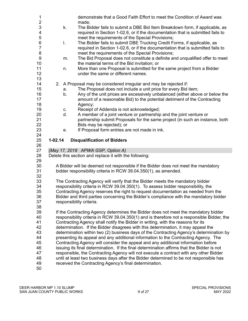| $\mathbf{1}$   |             | demonstrate that a Good Faith Effort to meet the Condition of Award was                                                                                                             |
|----------------|-------------|-------------------------------------------------------------------------------------------------------------------------------------------------------------------------------------|
| $\frac{2}{3}$  | k.          | made;<br>The Bidder fails to submit a DBE Bid Item Breakdown form, if applicable, as                                                                                                |
| 4              |             | required in Section 1-02.6, or if the documentation that is submitted fails to                                                                                                      |
| 5              |             | meet the requirements of the Special Provisions;                                                                                                                                    |
| 6              | T.          | The Bidder fails to submit DBE Trucking Credit Forms, if applicable, as                                                                                                             |
| $\overline{7}$ |             | required in Section 1-02.6, or if the documentation that is submitted fails to                                                                                                      |
| 8              |             | meet the requirements of the Special Provisions;                                                                                                                                    |
| 9              | m.          | The Bid Proposal does not constitute a definite and unqualified offer to meet                                                                                                       |
| 10             |             | the material terms of the Bid invitation; or                                                                                                                                        |
| 11             | n.          | More than one Proposal is submitted for the same project from a Bidder                                                                                                              |
| 12             |             | under the same or different names.                                                                                                                                                  |
| 13<br>14       |             | 2. A Proposal may be considered irregular and may be rejected if:                                                                                                                   |
| 15             | a.          | The Proposal does not include a unit price for every Bid item;                                                                                                                      |
| 16             | b.          | Any of the unit prices are excessively unbalanced (either above or below the                                                                                                        |
| 17             |             | amount of a reasonable Bid) to the potential detriment of the Contracting                                                                                                           |
| 18             |             | Agency;                                                                                                                                                                             |
| 19             | C.          | Receipt of Addenda is not acknowledged;                                                                                                                                             |
| 20             | d.          | A member of a joint venture or partnership and the joint venture or                                                                                                                 |
| 21             |             | partnership submit Proposals for the same project (in such an instance, both                                                                                                        |
| 22             |             | Bids may be rejected); or                                                                                                                                                           |
| 23             | е.          | If Proposal form entries are not made in ink.                                                                                                                                       |
| 24<br>25       | $1 - 02.14$ |                                                                                                                                                                                     |
|                |             |                                                                                                                                                                                     |
| 26             |             | <b>Disqualification of Bidders</b>                                                                                                                                                  |
| 27             |             | (May 17, 2018 APWA GSP, Option A)                                                                                                                                                   |
| 28             |             | Delete this section and replace it with the following:                                                                                                                              |
| 29             |             |                                                                                                                                                                                     |
| 30             |             | A Bidder will be deemed not responsible if the Bidder does not meet the mandatory                                                                                                   |
| 31             |             | bidder responsibility criteria in RCW 39.04.350(1), as amended.                                                                                                                     |
| 32             |             |                                                                                                                                                                                     |
| 33             |             | The Contracting Agency will verify that the Bidder meets the mandatory bidder                                                                                                       |
| 34             |             | responsibility criteria in RCW 39.04.350(1). To assess bidder responsibility, the                                                                                                   |
| 35<br>36       |             | Contracting Agency reserves the right to request documentation as needed from the<br>Bidder and third parties concerning the Bidder's compliance with the mandatory bidder          |
| 37             |             | responsibility criteria.                                                                                                                                                            |
| 38             |             |                                                                                                                                                                                     |
| 39             |             | If the Contracting Agency determines the Bidder does not meet the mandatory bidder                                                                                                  |
| 40             |             | responsibility criteria in RCW 39.04.350(1) and is therefore not a responsible Bidder, the                                                                                          |
| 41             |             | Contracting Agency shall notify the Bidder in writing, with the reasons for its                                                                                                     |
| 42             |             | determination. If the Bidder disagrees with this determination, it may appeal the                                                                                                   |
| 43             |             | determination within two (2) business days of the Contracting Agency's determination by                                                                                             |
| 44             |             | presenting its appeal and any additional information to the Contracting Agency. The                                                                                                 |
| 45<br>46       |             | Contracting Agency will consider the appeal and any additional information before                                                                                                   |
| 47             |             | issuing its final determination. If the final determination affirms that the Bidder is not<br>responsible, the Contracting Agency will not execute a contract with any other Bidder |
| 48             |             | until at least two business days after the Bidder determined to be not responsible has                                                                                              |
| 49<br>50       |             | received the Contracting Agency's final determination.                                                                                                                              |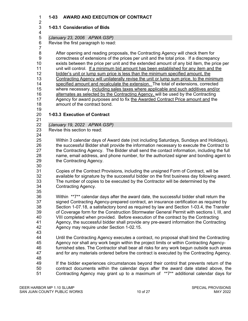#### **1-03 AWARD AND EXECUTION OF CONTRACT**

#### $\frac{2}{3}$ **1-03.1 Consideration of Bids**

*(January 23, 2006 APWA GSP)*

Revise the first paragraph to read:

 After opening and reading proposals, the Contracting Agency will check them for correctness of extensions of the prices per unit and the total price. If a discrepancy exists between the price per unit and the extended amount of any bid item, the price per unit will control. If a minimum bid amount has been established for any item and the bidder's unit or lump sum price is less than the minimum specified amount, the Contracting Agency will unilaterally revise the unit or lump sum price, to the minimum specified amount and recalculate the extension. The total of extensions, corrected where necessary, including sales taxes where applicable and such additives and/or alternates as selected by the Contracting Agency, will be used by the Contracting 17 Agency for award purposes and to fix the Awarded Contract Price amount and the amount of the contract bond.

#### **1-03.3 Execution of Contract**

21<br>22

- *(January 19, 2022 APWA GSP)*
- Revise this section to read:
- 24<br>25

 Within 3 calendar days of Award date (not including Saturdays, Sundays and Holidays), the successful Bidder shall provide the information necessary to execute the Contract to the Contracting Agency. The Bidder shall send the contact information, including the full name, email address, and phone number, for the authorized signer and bonding agent to the Contracting Agency.

 Copies of the Contract Provisions, including the unsigned Form of Contract, will be 32 available for signature by the successful bidder on the first business day following award.<br>33 The number of copies to be executed by the Contractor will be determined by the The number of copies to be executed by the Contractor will be determined by the Contracting Agency.

 Within \*\*7\*\* calendar days after the award date, the successful bidder shall return the signed Contracting Agency-prepared contract, an insurance certification as required by Section 1-07.18, a satisfactory bond as required by law and Section 1-03.4, the Transfer of Coverage form for the Construction Stormwater General Permit with sections I, III, and 40 VIII completed when provided. Before execution of the contract by the Contracting<br>41 Agency, the successful bidder shall provide any pre-award information the Contract Agency, the successful bidder shall provide any pre-award information the Contracting Agency may require under Section 1-02.15.

Until the Contracting Agency executes a contract, no proposal shall bind the Contracting

Agency nor shall any work begin within the project limits or within Contracting Agency-

 furnished sites. The Contractor shall bear all risks for any work begun outside such areas and for any materials ordered before the contract is executed by the Contracting Agency.

 If the bidder experiences circumstances beyond their control that prevents return of the contract documents within the calendar days after the award date stated above, the Contracting Agency may grant up to a maximum of \*\*7\*\* additional calendar days for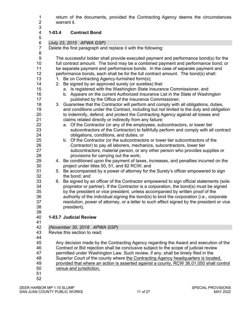1 return of the documents, provided the Contracting Agency deems the circumstances<br>2 warrant it. warrant it.

#### **1-03.4 Contract Bond**

*(July 23, 2015 APWA GSP)*

Delete the first paragraph and replace it with the following:

8<br>9

The successful bidder shall provide executed payment and performance bond(s) for the full contract amount. The bond may be a combined payment and performance bond; or 11 be separate payment and performance bonds. In the case of separate payment and performance bonds, each shall be for the full contract amount. The bond(s) shall:

- 13 1. Be on Contracting Agency-furnished form(s);
- 2. Be signed by an approved surety (or sureties) that:
- a. Is registered with the Washington State Insurance Commissioner, and
- b. Appears on the current Authorized Insurance List in the State of Washington published by the Office of the Insurance Commissioner,
- 3. Guarantee that the Contractor will perform and comply with all obligations, duties, and conditions under the Contract, including but not limited to the duty and obligation to indemnify, defend, and protect the Contracting Agency against all losses and claims related directly or indirectly from any failure:
- a. Of the Contractor (or any of the employees, subcontractors, or lower tier subcontractors of the Contractor) to faithfully perform and comply with all contract obligations, conditions, and duties, or
- b. Of the Contractor (or the subcontractors or lower tier subcontractors of the Contractor) to pay all laborers, mechanics, subcontractors, lower tier subcontractors, material person, or any other person who provides supplies or provisions for carrying out the work;
- 4. Be conditioned upon the payment of taxes, increases, and penalties incurred on the project under titles 50, 51, and 82 RCW; and
- 5. Be accompanied by a power of attorney for the Surety's officer empowered to sign
- 32 the bond; and<br>33 6. Be signed by a 6. Be signed by an officer of the Contractor empowered to sign official statements (sole proprietor or partner). If the Contractor is a corporation, the bond(s) must be signed by the president or vice president, unless accompanied by written proof of the authority of the individual signing the bond(s) to bind the corporation (i.e., corporate resolution, power of attorney, or a letter to such effect signed by the president or vice president).
- 

#### **1-03.7 Judicial Review**

41<br>42

- *(November 30, 2018 APWA GSP)*
- Revise this section to read:
- 
- Any decision made by the Contracting Agency regarding the Award and execution of the
- Contract or Bid rejection shall be conclusive subject to the scope of judicial review
- permitted under Washington Law. Such review, if any, shall be timely filed in the
- 48 Superior Court of the county where the Contracting Agency headquarters is located,
- provided that where an action is asserted against a county, RCW 36.01.050 shall control
- venue and jurisdiction.
-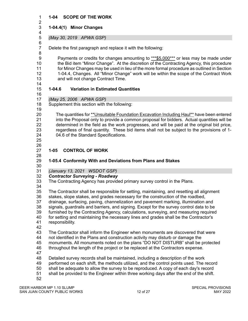#### **1-04 SCOPE OF THE WORK**

#### $\frac{2}{3}$  **1-04.4(1) Minor Changes**

#### *(May 30, 2019 APWA GSP)*

Delete the first paragraph and replace it with the following:

 Payments or credits for changes amounting to \*\*\*\$5,000\*\*\* or less may be made under the Bid item "Minor Change". At the discretion of the Contracting Agency, this procedure for Minor Changes may be used in lieu of the more formal procedure as outlined in Section 1-04.4, Changes. All "Minor Change" work will be within the scope of the Contract Work and will not change Contract Time.

6<br>7

#### **1-04.6 Variation in Estimated Quantities**

*(May 25, 2006 APWA GSP)*

 Supplement this section with the following: 

 The quantities for \*\*Unsuitable Foundation Excavation Including Haul\*\* have been entered into the Proposal only to provide a common proposal for bidders. Actual quantities will be determined in the field as the work progresses, and will be paid at the original bid price, regardless of final quantity. These bid items shall not be subject to the provisions of 1- 04.6 of the Standard Specifications.

 

#### **1-05 CONTROL OF WORK**

#### **1-05.4 Conformity With and Deviations from Plans and Stakes**

*(January 13, 2021 WSDOT GSP)* 

*Contractor Surveying - Roadway* 

The Contracting Agency has provided primary survey control in the Plans.

 The Contractor shall be responsible for setting, maintaining, and resetting all alignment stakes, slope stakes, and grades necessary for the construction of the roadbed, drainage, surfacing, paving, channelization and pavement marking, illumination and signals, guardrails and barriers, and signing. Except for the survey control data to be furnished by the Contracting Agency, calculations, surveying, and measuring required 40 for setting and maintaining the necessary lines and grades shall be the Contractor's 41 responsibility.

- responsibility.
- 

The Contractor shall inform the Engineer when monuments are discovered that were

not identified in the Plans and construction activity may disturb or damage the

monuments. All monuments noted on the plans "DO NOT DISTURB" shall be protected

throughout the length of the project or be replaced at the Contractors expense.

Detailed survey records shall be maintained, including a description of the work

performed on each shift, the methods utilized, and the control points used. The record

shall be adequate to allow the survey to be reproduced. A copy of each day's record

shall be provided to the Engineer within three working days after the end of the shift.

DEER HARBOR MP 1.10 SLUMP SPECIAL PROVISIONS SAN JUAN COUNTY PUBLIC WORKS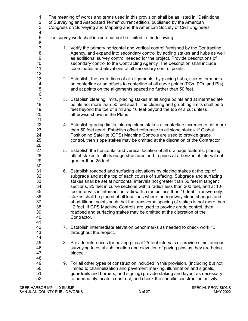| $\mathbf{1}$<br>$\overline{c}$<br>3<br>4                       |    | The meaning of words and terms used in this provision shall be as listed in "Definitions<br>of Surveying and Associated Terms" current edition, published by the American<br>Congress on Surveying and Mapping and the American Society of Civil Engineers.                                                                                                                                                                                                                                                                                                                                                                                                                                                                                                      |
|----------------------------------------------------------------|----|------------------------------------------------------------------------------------------------------------------------------------------------------------------------------------------------------------------------------------------------------------------------------------------------------------------------------------------------------------------------------------------------------------------------------------------------------------------------------------------------------------------------------------------------------------------------------------------------------------------------------------------------------------------------------------------------------------------------------------------------------------------|
| 5<br>$\,6$                                                     |    | The survey work shall include but not be limited to the following:                                                                                                                                                                                                                                                                                                                                                                                                                                                                                                                                                                                                                                                                                               |
| $\overline{7}$<br>8<br>$\boldsymbol{9}$<br>10<br>11<br>12      |    | 1. Verify the primary horizontal and vertical control furnished by the Contracting<br>Agency, and expand into secondary control by adding stakes and hubs as well<br>as additional survey control needed for the project. Provide descriptions of<br>secondary control to the Contracting Agency. The description shall include<br>coordinates and elevations of all secondary control points.                                                                                                                                                                                                                                                                                                                                                                   |
| 13<br>14<br>15<br>16                                           |    | 2. Establish, the centerlines of all alignments, by placing hubs, stakes, or marks<br>on centerline or on offsets to centerline at all curve points (PCs, PTs, and PIs)<br>and at points on the alignments spaced no further than 50 feet.                                                                                                                                                                                                                                                                                                                                                                                                                                                                                                                       |
| 17<br>18<br>19<br>20<br>21                                     |    | 3. Establish clearing limits, placing stakes at all angle points and at intermediate<br>points not more than 50 feet apart. The clearing and grubbing limits shall be 5<br>feet beyond the toe of a fill and 10 feet beyond the top of a cut unless<br>otherwise shown in the Plans.                                                                                                                                                                                                                                                                                                                                                                                                                                                                             |
| 22<br>23<br>24<br>25<br>26                                     |    | 4. Establish grading limits, placing slope stakes at centerline increments not more<br>than 50 feet apart. Establish offset reference to all slope stakes. If Global<br>Positioning Satellite (GPS) Machine Controls are used to provide grade<br>control, then slope stakes may be omitted at the discretion of the Contractor                                                                                                                                                                                                                                                                                                                                                                                                                                  |
| 27<br>28<br>29<br>30                                           |    | 5. Establish the horizontal and vertical location of all drainage features, placing<br>offset stakes to all drainage structures and to pipes at a horizontal interval not<br>greater than 25 feet.                                                                                                                                                                                                                                                                                                                                                                                                                                                                                                                                                               |
| 31<br>32<br>33<br>34<br>35<br>36<br>37<br>38<br>39<br>40<br>41 |    | 6. Establish roadbed and surfacing elevations by placing stakes at the top of<br>subgrade and at the top of each course of surfacing. Subgrade and surfacing<br>stakes shall be set at horizontal intervals not greater than 50 feet in tangent<br>sections, 25 feet in curve sections with a radius less than 300 feet, and at 10-<br>foot intervals in intersection radii with a radius less than 10 feet. Transversely,<br>stakes shall be placed at all locations where the roadway slope changes and<br>at additional points such that the transverse spacing of stakes is not more than<br>12 feet. If GPS Machine Controls are used to provide grade control, then<br>roadbed and surfacing stakes may be omitted at the discretion of the<br>Contractor. |
| 42<br>43<br>44                                                 |    | 7. Establish intermediate elevation benchmarks as needed to check work 13<br>throughout the project.                                                                                                                                                                                                                                                                                                                                                                                                                                                                                                                                                                                                                                                             |
| 45<br>46<br>47<br>48                                           | 8. | Provide references for paving pins at 25-foot intervals or provide simultaneous<br>surveying to establish location and elevation of paving pins as they are being<br>placed.                                                                                                                                                                                                                                                                                                                                                                                                                                                                                                                                                                                     |
| 49<br>50<br>51<br>52                                           |    | 9. For all other types of construction included in this provision, (including but not<br>limited to channelization and pavement marking, illumination and signals,<br>guardrails and barriers, and signing) provide staking and layout as necessary<br>to adequately locate, construct, and check the specific construction activity.                                                                                                                                                                                                                                                                                                                                                                                                                            |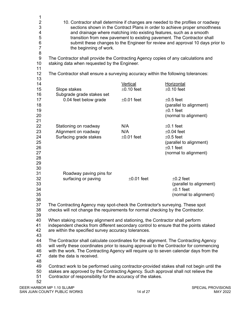| 1                            |                                                                                          |                 |                                                                                 |
|------------------------------|------------------------------------------------------------------------------------------|-----------------|---------------------------------------------------------------------------------|
| $\overline{\mathbf{c}}$      |                                                                                          |                 | 10. Contractor shall determine if changes are needed to the profiles or roadway |
| 3                            |                                                                                          |                 | sections shown in the Contract Plans in order to achieve proper smoothness      |
| 4                            |                                                                                          |                 | and drainage where matching into existing features, such as a smooth            |
| 5                            |                                                                                          |                 | transition from new pavement to existing pavement. The Contractor shall         |
| $\,6$                        |                                                                                          |                 | submit these changes to the Engineer for review and approval 10 days prior to   |
| $\overline{7}$               | the beginning of work.                                                                   |                 |                                                                                 |
| $\bf 8$                      |                                                                                          |                 |                                                                                 |
| $\boldsymbol{9}$             | The Contractor shall provide the Contracting Agency copies of any calculations and       |                 |                                                                                 |
| 10                           | staking data when requested by the Engineer.                                             |                 |                                                                                 |
| 11                           |                                                                                          |                 |                                                                                 |
| 12 <sub>2</sub>              | The Contractor shall ensure a surveying accuracy within the following tolerances:        |                 |                                                                                 |
| 13                           |                                                                                          |                 |                                                                                 |
| 14                           |                                                                                          | Vertical        | Horizontal                                                                      |
|                              |                                                                                          | $\pm 0.10$ feet | $±0.10$ feet                                                                    |
| 15                           | Slope stakes                                                                             |                 |                                                                                 |
| 16                           | Subgrade grade stakes set                                                                |                 |                                                                                 |
| 17                           | 0.04 feet below grade                                                                    | $±0.01$ feet    | $\pm 0.5$ feet                                                                  |
| 18                           |                                                                                          |                 | (parallel to alignment)                                                         |
| 19                           |                                                                                          |                 | $±0.1$ feet                                                                     |
| 20                           |                                                                                          |                 | (normal to alignment)                                                           |
| 21                           |                                                                                          |                 |                                                                                 |
| 22                           | Stationing on roadway                                                                    | N/A             | $±0.1$ feet                                                                     |
| 23                           | Alignment on roadway                                                                     | N/A             | $\pm 0.04$ feet                                                                 |
| 24                           | Surfacing grade stakes                                                                   | $±0.01$ feet    | $\pm 0.5$ feet                                                                  |
| 25                           |                                                                                          |                 | (parallel to alignment)                                                         |
| 26                           |                                                                                          |                 | $±0.1$ feet                                                                     |
| 27                           |                                                                                          |                 | (normal to alignment)                                                           |
| 28                           |                                                                                          |                 |                                                                                 |
| 29                           |                                                                                          |                 |                                                                                 |
| 30                           |                                                                                          |                 |                                                                                 |
| 31                           |                                                                                          |                 |                                                                                 |
|                              | Roadway paving pins for                                                                  |                 |                                                                                 |
| 32                           | surfacing or paving                                                                      | $±0.01$ feet    | $\pm 0.2$ feet                                                                  |
| 33                           |                                                                                          |                 | (parallel to alignment)                                                         |
| 34                           |                                                                                          |                 | $±0.1$ feet                                                                     |
| 35                           |                                                                                          |                 | (normal to alignment)                                                           |
| 36                           |                                                                                          |                 |                                                                                 |
| 37                           | The Contracting Agency may spot-check the Contractor's surveying. These spot             |                 |                                                                                 |
| 38                           | checks will not change the requirements for normal checking by the Contractor.           |                 |                                                                                 |
| 39                           |                                                                                          |                 |                                                                                 |
| 40                           | When staking roadway alignment and stationing, the Contractor shall perform              |                 |                                                                                 |
| 41                           | independent checks from different secondary control to ensure that the points staked     |                 |                                                                                 |
| 42                           | are within the specified survey accuracy tolerances.                                     |                 |                                                                                 |
| 43                           |                                                                                          |                 |                                                                                 |
| 44                           | The Contractor shall calculate coordinates for the alignment. The Contracting Agency     |                 |                                                                                 |
| 45                           | will verify these coordinates prior to issuing approval to the Contractor for commencing |                 |                                                                                 |
| 46                           | with the work. The Contracting Agency will require up to seven calendar days from the    |                 |                                                                                 |
| 47                           | date the data is received.                                                               |                 |                                                                                 |
| 48                           |                                                                                          |                 |                                                                                 |
| 49                           | Contract work to be performed using contractor-provided stakes shall not begin until the |                 |                                                                                 |
| 50                           | stakes are approved by the Contracting Agency. Such approval shall not relieve the       |                 |                                                                                 |
| 51                           | Contractor of responsibility for the accuracy of the stakes.                             |                 |                                                                                 |
| 52                           |                                                                                          |                 |                                                                                 |
|                              | DEER HARBOR MP 1.10 SLUMP                                                                |                 | <b>SPECIAL PROVISIONS</b>                                                       |
| SAN JUAN COUNTY PUBLIC WORKS |                                                                                          | 14 of 27        | MAY 2022                                                                        |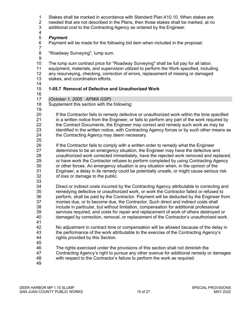- 
- 1 Stakes shall be marked in accordance with Standard Plan A10.10. When stakes are<br>2 needed that are not described in the Plans, then those stakes shall be marked, at no
- 2 needed that are not described in the Plans, then those stakes shall be marked, at no<br>3 additional cost to the Contracting Agency as ordered by the Engineer. additional cost to the Contracting Agency as ordered by the Engineer.
- 
- 
- *Payment*  Payment will be made for the following bid item when included in the proposal:
- "Roadway Surveying", lump sum.
- The lump sum contract price for "Roadway Surveying" shall be full pay for all labor,
- equipment, materials, and supervision utilized to perform the Work specified, including
- any resurveying, checking, correction of errors, replacement of missing or damaged
- stakes, and coordination efforts.
- 

#### **1-05.7 Removal of Defective and Unauthorized Work**

- 
- *(October 1, 2005 APWA GSP)*
- Supplement this section with the following:
- 
- If the Contractor fails to remedy defective or unauthorized work within the time specified 21 in a written notice from the Engineer, or fails to perform any part of the work required by<br>22 the Contract Documents, the Engineer may correct and remedy such work as may be 22 the Contract Documents, the Engineer may correct and remedy such work as may be<br>23 identified in the written notice, with Contracting Agency forces or by such other means identified in the written notice, with Contracting Agency forces or by such other means as the Contracting Agency may deem necessary.
- 25<br>26
- If the Contractor fails to comply with a written order to remedy what the Engineer determines to be an emergency situation, the Engineer may have the defective and unauthorized work corrected immediately, have the rejected work removed and replaced, or have work the Contractor refuses to perform completed by using Contracting Agency or other forces. An emergency situation is any situation when, in the opinion of the Engineer, a delay in its remedy could be potentially unsafe, or might cause serious risk of loss or damage to the public.
- 
- Direct or indirect costs incurred by the Contracting Agency attributable to correcting and remedying defective or unauthorized work, or work the Contractor failed or refused to perform, shall be paid by the Contractor. Payment will be deducted by the Engineer from monies due, or to become due, the Contractor. Such direct and indirect costs shall include in particular, but without limitation, compensation for additional professional 39 services required, and costs for repair and replacement of work of others destroyed or<br>40 damaged by correction, removal, or replacement of the Contractor's unauthorized work damaged by correction, removal, or replacement of the Contractor's unauthorized work.
- 41<br>42 No adjustment in contract time or compensation will be allowed because of the delay in the performance of the work attributable to the exercise of the Contracting Agency's rights provided by this Section.
	-
	- The rights exercised under the provisions of this section shall not diminish the
	- Contracting Agency's right to pursue any other avenue for additional remedy or damages with respect to the Contractor's failure to perform the work as required.
	-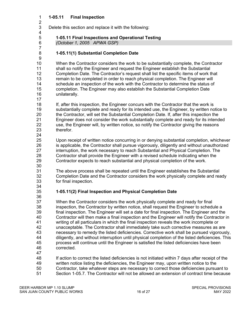#### **1-05.11 Final Inspection**

 $\frac{2}{3}$ Delete this section and replace it with the following:

# **1-05.11 Final Inspections and Operational Testing**

*(October 1, 2005 APWA GSP)*

**1-05.11(1) Substantial Completion Date** 

 When the Contractor considers the work to be substantially complete, the Contractor shall so notify the Engineer and request the Engineer establish the Substantial Completion Date. The Contractor's request shall list the specific items of work that remain to be completed in order to reach physical completion. The Engineer will schedule an inspection of the work with the Contractor to determine the status of completion. The Engineer may also establish the Substantial Completion Date unilaterally.

 If, after this inspection, the Engineer concurs with the Contractor that the work is substantially complete and ready for its intended use, the Engineer, by written notice to the Contractor, will set the Substantial Completion Date. If, after this inspection the 21 Engineer does not consider the work substantially complete and ready for its intended<br>22 use, the Engineer will, by written notice, so notify the Contractor giving the reasons use, the Engineer will, by written notice, so notify the Contractor giving the reasons therefor.

 Upon receipt of written notice concurring in or denying substantial completion, whichever is applicable, the Contractor shall pursue vigorously, diligently and without unauthorized interruption, the work necessary to reach Substantial and Physical Completion. The Contractor shall provide the Engineer with a revised schedule indicating when the Contractor expects to reach substantial and physical completion of the work.

 The above process shall be repeated until the Engineer establishes the Substantial 32 Completion Date and the Contractor considers the work physically complete and ready<br>33 for final inspection. for final inspection.

#### **1-05.11(2) Final Inspection and Physical Completion Date**

 When the Contractor considers the work physically complete and ready for final inspection, the Contractor by written notice, shall request the Engineer to schedule a final inspection. The Engineer will set a date for final inspection. The Engineer and the 40 Contractor will then make a final inspection and the Engineer will notify the Contractor in<br>41 writing of all particulars in which the final inspection reveals the work incomplete or writing of all particulars in which the final inspection reveals the work incomplete or unacceptable. The Contractor shall immediately take such corrective measures as are necessary to remedy the listed deficiencies. Corrective work shall be pursued vigorously, diligently, and without interruption until physical completion of the listed deficiencies. This process will continue until the Engineer is satisfied the listed deficiencies have been corrected.

If action to correct the listed deficiencies is not initiated within 7 days after receipt of the

- written notice listing the deficiencies, the Engineer may, upon written notice to the Contractor, take whatever steps are necessary to correct those deficiencies pursuant to
- Section 1-05.7. The Contractor will not be allowed an extension of contract time because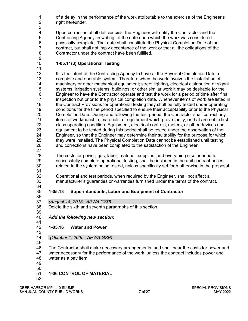1 of a delay in the performance of the work attributable to the exercise of the Engineer's right hereunder. right hereunder. 

 Upon correction of all deficiencies, the Engineer will notify the Contractor and the 5 Contracting Agency, in writing, of the date upon which the work was considered<br>6 physically complete. That date shall constitute the Physical Completion Date of t physically complete. That date shall constitute the Physical Completion Date of the contract, but shall not imply acceptance of the work or that all the obligations of the Contractor under the contract have been fulfilled.

- **1-05.11(3) Operational Testing**
- 

12 It is the intent of the Contracting Agency to have at the Physical Completion Date a complete and operable system. Therefore when the work involves the installation of machinery or other mechanical equipment; street lighting, electrical distribution or signal systems; irrigation systems; buildings; or other similar work it may be desirable for the Engineer to have the Contractor operate and test the work for a period of time after final inspection but prior to the physical completion date. Whenever items of work are listed in 18 the Contract Provisions for operational testing they shall be fully tested under operating conditions for the time period specified to ensure their acceptability prior to the Physical Completion Date. During and following the test period, the Contractor shall correct any 21 items of workmanship, materials, or equipment which prove faulty, or that are not in first<br>22 class operating condition. Equipment, electrical controls, meters, or other devices and class operating condition. Equipment, electrical controls, meters, or other devices and equipment to be tested during this period shall be tested under the observation of the Engineer, so that the Engineer may determine their suitability for the purpose for which 25 they were installed. The Physical Completion Date cannot be established until testing<br>26 and corrections have been completed to the satisfaction of the Engineer. and corrections have been completed to the satisfaction of the Engineer.

 The costs for power, gas, labor, material, supplies, and everything else needed to successfully complete operational testing, shall be included in the unit contract prices related to the system being tested, unless specifically set forth otherwise in the proposal.

32 Operational and test periods, when required by the Engineer, shall not affect a<br>33 manufacturer's quaranties or warranties furnished under the terms of the contra manufacturer's quaranties or warranties furnished under the terms of the contract.

#### **1-05.13 Superintendents, Labor and Equipment of Contractor**

*(August 14, 2013 APWA GSP)*

 Delete the sixth and seventh paragraphs of this section. 

- *Add the following new section:*
- 41<br>42 **1-05.16 Water and Power**
- 
- 

*(October 1, 2005 APWA GSP)*

 The Contractor shall make necessary arrangements, and shall bear the costs for power and water necessary for the performance of the work, unless the contract includes power and water as a pay item.

- 
- **1-06 CONTROL OF MATERIAL**
- 

DEER HARBOR MP 1.10 SLUMP SPECIAL PROVISIONS<br>SAN JUAN COUNTY PUBLIC WORKS 17 of 27 MAY 2022 SAN JUAN COUNTY PUBLIC WORKS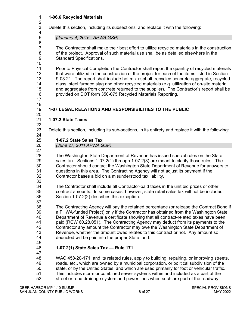#### **1-06.6 Recycled Materials**

 $\frac{2}{3}$ Delete this section, including its subsections, and replace it with the following:

*(January 4, 2016 APWA GSP)*

 The Contractor shall make their best effort to utilize recycled materials in the construction of the project. Approval of such material use shall be as detailed elsewhere in the Standard Specifications.

 Prior to Physical Completion the Contractor shall report the quantity of recycled materials 12 that were utilized in the construction of the project for each of the items listed in Section 9-03.21. The report shall include hot mix asphalt, recycled concrete aggregate, recycled glass, steel furnace slag and other recycled materials (e.g. utilization of on-site material and aggregates from concrete returned to the supplier). The Contractor's report shall be provided on DOT form 350-075 Recycled Materials Reporting.

 

6<br>7

#### **1-07 LEGAL RELATIONS AND RESPONSIBILITIES TO THE PUBLIC**

#### **1-07.2 State Taxes**

Delete this section, including its sub-sections, in its entirety and replace it with the following:

 **1-07.2 State Sales Tax** *(June 27, 2011 APWA GSP)*

 The Washington State Department of Revenue has issued special rules on the State sales tax. Sections 1-07.2(1) through 1-07.2(3) are meant to clarify those rules. The Contractor should contact the Washington State Department of Revenue for answers to questions in this area. The Contracting Agency will not adjust its payment if the Contractor bases a bid on a misunderstood tax liability.

 The Contractor shall include all Contractor-paid taxes in the unit bid prices or other contract amounts. In some cases, however, state retail sales tax will not be included. Section 1-07.2(2) describes this exception.

 The Contracting Agency will pay the retained percentage (or release the Contract Bond if a FHWA-funded Project) only if the Contractor has obtained from the Washington State 40 Department of Revenue a certificate showing that all contract-related taxes have been<br>41 paid (RCW 60.28.051). The Contracting Agency may deduct from its payments to the paid (RCW 60.28.051). The Contracting Agency may deduct from its payments to the Contractor any amount the Contractor may owe the Washington State Department of Revenue, whether the amount owed relates to this contract or not. Any amount so deducted will be paid into the proper State fund.

#### **1-07.2(1) State Sales Tax — Rule 171**

 WAC 458-20-171, and its related rules, apply to building, repairing, or improving streets, roads, etc., which are owned by a municipal corporation, or political subdivision of the state, or by the United States, and which are used primarily for foot or vehicular traffic. This includes storm or combined sewer systems within and included as a part of the street or road drainage system and power lines when such are part of the roadway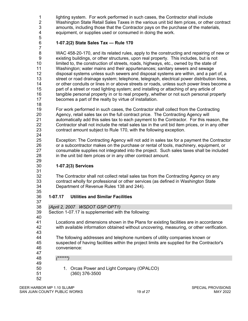1 lighting system. For work performed in such cases, the Contractor shall include<br>2 Washington State Retail Sales Taxes in the various unit bid item prices, or other 2 Washington State Retail Sales Taxes in the various unit bid item prices, or other contract<br>3 mounts, including those that the Contractor pays on the purchase of the materials, amounts, including those that the Contractor pays on the purchase of the materials, equipment, or supplies used or consumed in doing the work.

 

#### **1-07.2(2) State Sales Tax — Rule 170**

 WAC 458-20-170, and its related rules, apply to the constructing and repairing of new or existing buildings, or other structures, upon real property. This includes, but is not limited to, the construction of streets, roads, highways, etc., owned by the state of Washington; water mains and their appurtenances; sanitary sewers and sewage disposal systems unless such sewers and disposal systems are within, and a part of, a street or road drainage system; telephone, telegraph, electrical power distribution lines, or other conduits or lines in or above streets or roads, unless such power lines become a 15 part of a street or road lighting system; and installing or attaching of any article of 16 tangible personal property in or to real property, whether or not such personal property becomes a part of the realty by virtue of installation.

For work performed in such cases, the Contractor shall collect from the Contracting

 Agency, retail sales tax on the full contract price. The Contracting Agency will 21 automatically add this sales tax to each payment to the Contractor. For this reason, the<br>22 Contractor shall not include the retail sales tax in the unit bid item prices, or in any other 22 Contractor shall not include the retail sales tax in the unit bid item prices, or in any other<br>23 contract amount subiect to Rule 170, with the following exception. contract amount subject to Rule 170, with the following exception.

 Exception: The Contracting Agency will not add in sales tax for a payment the Contractor or a subcontractor makes on the purchase or rental of tools, machinery, equipment, or consumable supplies not integrated into the project. Such sales taxes shall be included in the unit bid item prices or in any other contract amount.

#### **1-07.2(3) Services**

32 The Contractor shall not collect retail sales tax from the Contracting Agency on any<br>33 contract wholly for professional or other services (as defined in Washington State contract wholly for professional or other services (as defined in Washington State Department of Revenue Rules 138 and 244).

#### **1-07.17 Utilities and Similar Facilities**

*(April 2, 2007 WSDOT GSP OPT1)*

Section 1-07.17 is supplemented with the following:

40<br>41 Locations and dimensions shown in the Plans for existing facilities are in accordance with available information obtained without uncovering, measuring, or other verification.

 The following addresses and telephone numbers of utility companies known or suspected of having facilities within the project limits are supplied for the Contractor's convenience:

*(\*\*\*\*\*\*)*

 1. Orcas Power and Light Company (OPALCO) (360) 376-3500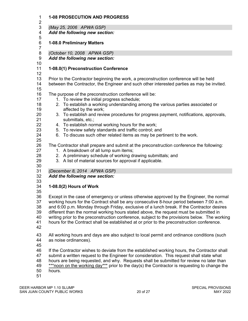| $\mathbf 1$<br>$\overline{2}$                                                                | <b>1-08 PROSECUTION AND PROGRESS</b>                                                                                                                                                                                                                                                                                                                                                                                                                                                                                                                                                                                                                                                                                                                                                         |  |  |  |
|----------------------------------------------------------------------------------------------|----------------------------------------------------------------------------------------------------------------------------------------------------------------------------------------------------------------------------------------------------------------------------------------------------------------------------------------------------------------------------------------------------------------------------------------------------------------------------------------------------------------------------------------------------------------------------------------------------------------------------------------------------------------------------------------------------------------------------------------------------------------------------------------------|--|--|--|
| 3                                                                                            | (May 25, 2006 APWA GSP)                                                                                                                                                                                                                                                                                                                                                                                                                                                                                                                                                                                                                                                                                                                                                                      |  |  |  |
| 4<br>5                                                                                       | Add the following new section:                                                                                                                                                                                                                                                                                                                                                                                                                                                                                                                                                                                                                                                                                                                                                               |  |  |  |
| $\,6$<br>$\overline{7}$                                                                      | 1-08.0 Preliminary Matters                                                                                                                                                                                                                                                                                                                                                                                                                                                                                                                                                                                                                                                                                                                                                                   |  |  |  |
| 8                                                                                            | (October 10, 2008 APWA GSP)                                                                                                                                                                                                                                                                                                                                                                                                                                                                                                                                                                                                                                                                                                                                                                  |  |  |  |
| $\boldsymbol{9}$<br>10                                                                       | Add the following new section:                                                                                                                                                                                                                                                                                                                                                                                                                                                                                                                                                                                                                                                                                                                                                               |  |  |  |
| 11<br>12                                                                                     | 1-08.0(1) Preconstruction Conference                                                                                                                                                                                                                                                                                                                                                                                                                                                                                                                                                                                                                                                                                                                                                         |  |  |  |
| 13<br>14                                                                                     | Prior to the Contractor beginning the work, a preconstruction conference will be held<br>between the Contractor, the Engineer and such other interested parties as may be invited.                                                                                                                                                                                                                                                                                                                                                                                                                                                                                                                                                                                                           |  |  |  |
| 15<br>16<br>17<br>18<br>19<br>20<br>21<br>22<br>23<br>24<br>25<br>26<br>27<br>28<br>29<br>30 | The purpose of the preconstruction conference will be:<br>1. To review the initial progress schedule;<br>2. To establish a working understanding among the various parties associated or<br>affected by the work;<br>3. To establish and review procedures for progress payment, notifications, approvals,<br>submittals, etc.;<br>4. To establish normal working hours for the work;<br>5. To review safety standards and traffic control; and<br>6. To discuss such other related items as may be pertinent to the work.<br>The Contractor shall prepare and submit at the preconstruction conference the following:<br>1. A breakdown of all lump sum items;<br>2. A preliminary schedule of working drawing submittals; and<br>3. A list of material sources for approval if applicable. |  |  |  |
| 31                                                                                           | (December 8, 2014 APWA GSP)                                                                                                                                                                                                                                                                                                                                                                                                                                                                                                                                                                                                                                                                                                                                                                  |  |  |  |
| 32<br>33                                                                                     | Add the following new section:                                                                                                                                                                                                                                                                                                                                                                                                                                                                                                                                                                                                                                                                                                                                                               |  |  |  |
| 34                                                                                           | 1-08.0(2) Hours of Work                                                                                                                                                                                                                                                                                                                                                                                                                                                                                                                                                                                                                                                                                                                                                                      |  |  |  |
| 35<br>36<br>37<br>38<br>39<br>40<br>41<br>42                                                 | Except in the case of emergency or unless otherwise approved by the Engineer, the normal<br>working hours for the Contract shall be any consecutive 8-hour period between 7:00 a.m.<br>and 6:00 p.m. Monday through Friday, exclusive of a lunch break. If the Contractor desires<br>different than the normal working hours stated above, the request must be submitted in<br>writing prior to the preconstruction conference, subject to the provisions below. The working<br>hours for the Contract shall be established at or prior to the preconstruction conference.                                                                                                                                                                                                                   |  |  |  |
| 43<br>44<br>45                                                                               | All working hours and days are also subject to local permit and ordinance conditions (such<br>as noise ordinances).                                                                                                                                                                                                                                                                                                                                                                                                                                                                                                                                                                                                                                                                          |  |  |  |
| 46<br>47<br>48<br>49<br>50<br>51                                                             | If the Contractor wishes to deviate from the established working hours, the Contractor shall<br>submit a written request to the Engineer for consideration. This request shall state what<br>hours are being requested, and why. Requests shall be submitted for review no later than<br>***noon on the working day*** prior to the day(s) the Contractor is requesting to change the<br>hours.                                                                                                                                                                                                                                                                                                                                                                                              |  |  |  |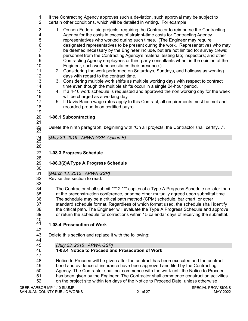1 If the Contracting Agency approves such a deviation, such approval may be subject to certain other conditions, which will be detailed in writing. For example: certain other conditions, which will be detailed in writing. For example: 1. On non-Federal aid projects, requiring the Contractor to reimburse the Contracting 4 Agency for the costs in excess of straight-time costs for Contracting Agency<br>5 representatives who worked during such times. (The Engineer may require representatives who worked during such times. (The Engineer may require designated representatives to be present during the work. Representatives who may be deemed necessary by the Engineer include, but are not limited to: survey crews; personnel from the Contracting Agency's material testing lab; inspectors; and other Contracting Agency employees or third party consultants when, in the opinion of the Engineer, such work necessitates their presence.) 2. Considering the work performed on Saturdays, Sundays, and holidays as working days with regard to the contract time. 3. Considering multiple work shifts as multiple working days with respect to contract 14 time even though the multiple shifts occur in a single 24-hour period. 4. If a 4-10 work schedule is requested and approved the non working day for the week will be charged as a working day. 17 5. If Davis Bacon wage rates apply to this Contract, all requirements must be met and<br>18 The corded properly on certified payroll recorded properly on certified payroll **1-08.1 Subcontracting** 21<br>22<br>23 Delete the ninth paragraph, beginning with "On all projects, the Contractor shall certify...". *(May 30, 2019 APWA GSP, Option B)* <sup>25</sup> **1-08.3 Progress Schedule 1-08.3(2)AType A Progress Schedule** *(March 13, 2012 APWA GSP)* Revise this section to read: 34 The Contractor shall submit \*\*\* 2 \*\*\* copies of a Type A Progress Schedule no later than 35 at the preconstruction conference, or some other mutually agreed upon submittal time. The schedule may be a critical path method (CPM) schedule, bar chart, or other standard schedule format. Regardless of which format used, the schedule shall identify the critical path. The Engineer will evaluate the Type A Progress Schedule and approve or return the schedule for corrections within 15 calendar days of receiving the submittal. 40<br>41 **1-08.4 Prosecution of Work**  Delete this section and replace it with the following: *(July 23, 2015 APWA GSP)* **1-08.4 Notice to Proceed and Prosecution of Work**  47<br>48 Notice to Proceed will be given after the contract has been executed and the contract bond and evidence of insurance have been approved and filed by the Contracting Agency. The Contractor shall not commence with the work until the Notice to Proceed has been given by the Engineer. The Contractor shall commence construction activities on the project site within ten days of the Notice to Proceed Date, unless otherwise

DEER HARBOR MP 1.10 SLUMP SPECIAL PROVISIONS SAN JUAN COUNTY PUBLIC WORKS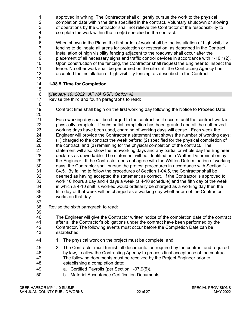| 1<br>$\overline{2}$ | approved in writing. The Contractor shall diligently pursue the work to the physical<br>completion date within the time specified in the contract. Voluntary shutdown or slowing             |
|---------------------|----------------------------------------------------------------------------------------------------------------------------------------------------------------------------------------------|
| 3<br>4              | of operations by the Contractor shall not relieve the Contractor of the responsibility to<br>complete the work within the time(s) specified in the contract.                                 |
| 5                   |                                                                                                                                                                                              |
| 6<br>$\overline{7}$ | When shown in the Plans, the first order of work shall be the installation of high visibility<br>fencing to delineate all areas for protection or restoration, as described in the Contract. |
| 8                   | Installation of high visibility fencing adjacent to the roadway shall occur after the                                                                                                        |
| 9                   | placement of all necessary signs and traffic control devices in accordance with 1-10.1(2).                                                                                                   |
| 10                  | Upon construction of the fencing, the Contractor shall request the Engineer to inspect the                                                                                                   |
| 11                  | fence. No other work shall be performed on the site until the Contracting Agency has                                                                                                         |
| 12                  | accepted the installation of high visibility fencing, as described in the Contract.                                                                                                          |
| 13<br>14            | 1-08.5 Time for Completion                                                                                                                                                                   |
| 15<br>16            | (January 19, 2022 APWA GSP, Option A)                                                                                                                                                        |
| 17                  | Revise the third and fourth paragraphs to read:                                                                                                                                              |
| 18                  |                                                                                                                                                                                              |
| 19<br>20            | Contract time shall begin on the first working day following the Notice to Proceed Date.                                                                                                     |
| 21                  | Each working day shall be charged to the contract as it occurs, until the contract work is                                                                                                   |
| 22                  | physically complete. If substantial completion has been granted and all the authorized                                                                                                       |
| 23                  | working days have been used, charging of working days will cease. Each week the                                                                                                              |
| 24<br>25            | Engineer will provide the Contractor a statement that shows the number of working days:<br>(1) charged to the contract the week before; (2) specified for the physical completion of         |
| 26                  | the contract; and (3) remaining for the physical completion of the contract. The                                                                                                             |
| 27                  | statement will also show the nonworking days and any partial or whole day the Engineer                                                                                                       |
| 28                  | declares as unworkable The statement will be identified as a Written Determination by                                                                                                        |
| 29                  | the Engineer. If the Contractor does not agree with the Written Determination of working                                                                                                     |
| 30                  | days, the Contractor shall pursue the protest procedures in accordance with Section 1-                                                                                                       |
| 31                  | 04.5. By failing to follow the procedures of Section 1-04.5, the Contractor shall be                                                                                                         |
| 32                  | deemed as having accepted the statement as correct. If the Contractor is approved to                                                                                                         |
| 33<br>34            | work 10 hours a day and 4 days a week (a 4-10 schedule) and the fifth day of the week<br>in which a 4-10 shift is worked would ordinarily be charged as a working day then the               |
| 35                  | fifth day of that week will be charged as a working day whether or not the Contractor                                                                                                        |
| 36                  | works on that day.                                                                                                                                                                           |
| 37                  |                                                                                                                                                                                              |
| 38                  | Revise the sixth paragraph to read:                                                                                                                                                          |
| 39                  |                                                                                                                                                                                              |
| 40                  | The Engineer will give the Contractor written notice of the completion date of the contract                                                                                                  |
| 41<br>42            | after all the Contractor's obligations under the contract have been performed by the                                                                                                         |
| 43                  | Contractor. The following events must occur before the Completion Date can be<br>established:                                                                                                |
| 44                  | The physical work on the project must be complete; and<br>1.                                                                                                                                 |
| 45                  | 2. The Contractor must furnish all documentation required by the contract and required                                                                                                       |
| 46                  | by law, to allow the Contracting Agency to process final acceptance of the contract.                                                                                                         |
| 47                  | The following documents must be received by the Project Engineer prior to                                                                                                                    |
| 48                  | establishing a completion date:                                                                                                                                                              |
| 49                  | a. Certified Payrolls (per Section 1-07.9(5)).                                                                                                                                               |
| 50                  | <b>Material Acceptance Certification Documents</b><br>b.                                                                                                                                     |
|                     |                                                                                                                                                                                              |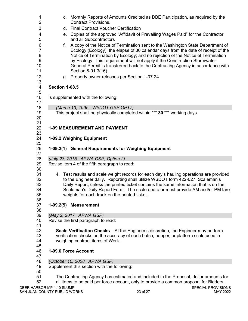| 1<br>$\overline{2}$       | c. Monthly Reports of Amounts Credited as DBE Participation, as required by the<br><b>Contract Provisions.</b> |
|---------------------------|----------------------------------------------------------------------------------------------------------------|
| 3                         | d. Final Contract Voucher Certification                                                                        |
| 4                         | e. Copies of the approved "Affidavit of Prevailing Wages Paid" for the Contractor                              |
| 5                         | and all Subcontractors                                                                                         |
| 6                         | A copy of the Notice of Termination sent to the Washington State Department of<br>f.                           |
| $\overline{7}$            | Ecology (Ecology); the elapse of 30 calendar days from the date of receipt of the                              |
| 8                         | Notice of Termination by Ecology; and no rejection of the Notice of Termination                                |
| 9                         | by Ecology. This requirement will not apply if the Construction Stormwater                                     |
| 10                        | General Permit is transferred back to the Contracting Agency in accordance with                                |
| 11                        | Section 8-01.3(16).                                                                                            |
| 12                        | g. Property owner releases per Section 1-07.24                                                                 |
| 13                        |                                                                                                                |
| 14                        | <b>Section 1-08.5</b>                                                                                          |
| 15<br>16                  | is supplemented with the following:                                                                            |
| 17                        |                                                                                                                |
| 18                        | (March 13, 1995 WSDOT GSP OPT7)                                                                                |
| 19                        | This project shall be physically completed within *** 30 *** working days.                                     |
| 20                        |                                                                                                                |
| 21                        |                                                                                                                |
| 22                        | <b>1-09 MEASUREMENT AND PAYMENT</b>                                                                            |
| 23                        |                                                                                                                |
| 24                        | 1-09.2 Weighing Equipment                                                                                      |
| 25                        |                                                                                                                |
| 26<br>27                  | 1-09.2(1) General Requirements for Weighing Equipment                                                          |
| 28                        | (July 23, 2015 APWA GSP, Option 2)                                                                             |
| 29                        | Revise item 4 of the fifth paragraph to read:                                                                  |
| 30                        |                                                                                                                |
| 31                        | 4. Test results and scale weight records for each day's hauling operations are provided                        |
| 32                        | to the Engineer daily. Reporting shall utilize WSDOT form 422-027, Scaleman's                                  |
| 33                        | Daily Report, unless the printed ticket contains the same information that is on the                           |
| 34                        | Scaleman's Daily Report Form. The scale operator must provide AM and/or PM tare                                |
| 35                        | weights for each truck on the printed ticket.                                                                  |
| 36<br>37                  |                                                                                                                |
| 38                        | 1-09.2(5) Measurement                                                                                          |
| 39                        | (May 2, 2017 APWA GSP)                                                                                         |
| 40                        | Revise the first paragraph to read:                                                                            |
| 41                        |                                                                                                                |
| 42                        | Scale Verification Checks - At the Engineer's discretion, the Engineer may perform                             |
| 43                        | verification checks on the accuracy of each batch, hopper, or platform scale used in                           |
| 44                        | weighing contract items of Work.                                                                               |
| 45                        |                                                                                                                |
| 46                        | 1-09.6 Force Account                                                                                           |
| 47<br>48                  |                                                                                                                |
| 49                        | (October 10, 2008 APWA GSP)<br>Supplement this section with the following:                                     |
| 50                        |                                                                                                                |
| 51                        | The Contracting Agency has estimated and included in the Proposal, dollar amounts for                          |
| 52                        | all items to be paid per force account, only to provide a common proposal for Bidders.                         |
| DEER HARBOR MP 1.10 SLUMP | SPECIAL PROVISIONS                                                                                             |
|                           | 23 of 27<br>SAN JUAN COUNTY PUBLIC WORKS<br>MAY 2022                                                           |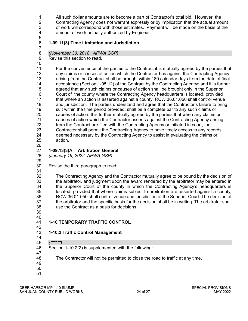1 All such dollar amounts are to become a part of Contractor's total bid. However, the<br>2 Contracting Agency does not warrant expressly or by implication that the actual amo 2 Contracting Agency does not warrant expressly or by implication that the actual amount<br>3 of work will correspond with those estimates. Payment will be made on the basis of the of work will correspond with those estimates. Payment will be made on the basis of the amount of work actually authorized by Engineer.

- **1-09.11(3) Time Limitation and Jurisdiction**
- *(November 30, 2018 APWA GSP)*

Revise this section to read*:*

 For the convenience of the parties to the Contract it is mutually agreed by the parties that any claims or causes of action which the Contractor has against the Contracting Agency arising from the Contract shall be brought within 180 calendar days from the date of final acceptance (Section 1-05.12) of the Contract by the Contracting Agency; and it is further agreed that any such claims or causes of action shall be brought only in the Superior Court of the county where the Contracting Agency headquarters is located, provided that where an action is asserted against a county, RCW 36.01.050 shall control venue and jurisdiction. The parties understand and agree that the Contractor's failure to bring suit within the time period provided, shall be a complete bar to any such claims or causes of action. It is further mutually agreed by the parties that when any claims or 21 causes of action which the Contractor asserts against the Contracting Agency arising<br>22 from the Contract are filed with the Contracting Agency or initiated in court, the from the Contract are filed with the Contracting Agency or initiated in court, the Contractor shall permit the Contracting Agency to have timely access to any records deemed necessary by the Contracting Agency to assist in evaluating the claims or action. 

**1-09.13(3)A Arbitration General**

*(January 19, 2022 APWA GSP)*

- 
- Revise the third paragraph to read:
- 

32 The Contracting Agency and the Contractor mutually agree to be bound by the decision of 33 the arbitrator, and judgment upon the award rendered by the arbitrator and in the arbitrator, and judgment upon the award rendered by the arbitrator may be entered in the Superior Court of the county in which the Contracting Agency's headquarters is located, provided that where claims subject to arbitration are asserted against a county, RCW 36.01.050 shall control venue and jurisdiction of the Superior Court. The decision of the arbitrator and the specific basis for the decision shall be in writing. The arbitrator shall use the Contract as a basis for decisions.

- 
- 40<br>41 **1-10 TEMPORARY TRAFFIC CONTROL**

#### **1-10.2 Traffic Control Management**

- 
- *(\*\*\*\*\*\*)*
- Section 1-10.2(2) is supplemented with the following:

The Contractor will not be permitted to close the road to traffic at any time.

- 
-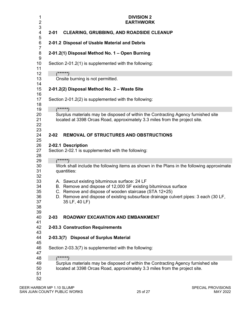| 1<br>$\overline{2}$                          | <b>DIVISION 2</b><br><b>EARTHWORK</b>                                                                                                                                                                                                                                           |  |
|----------------------------------------------|---------------------------------------------------------------------------------------------------------------------------------------------------------------------------------------------------------------------------------------------------------------------------------|--|
| 3<br>4                                       | <b>CLEARING, GRUBBING, AND ROADSIDE CLEANUP</b><br>$2 - 01$                                                                                                                                                                                                                     |  |
| 5<br>6                                       | 2-01.2 Disposal of Usable Material and Debris                                                                                                                                                                                                                                   |  |
| 7<br>8<br>9                                  | 2-01.2(1) Disposal Method No. 1 - Open Burning                                                                                                                                                                                                                                  |  |
| 10<br>11                                     | Section 2-01.2(1) is supplemented with the following:                                                                                                                                                                                                                           |  |
| 12                                           | $(******)$                                                                                                                                                                                                                                                                      |  |
| 13                                           | Onsite burning is not permitted.                                                                                                                                                                                                                                                |  |
| 14<br>15                                     | 2-01.2(2) Disposal Method No. 2 - Waste Site                                                                                                                                                                                                                                    |  |
| 16<br>17<br>18                               | Section 2-01.2(2) is supplemented with the following:                                                                                                                                                                                                                           |  |
| 19                                           | $(******)$                                                                                                                                                                                                                                                                      |  |
| 20<br>21<br>22<br>23                         | Surplus materials may be disposed of within the Contracting Agency furnished site<br>located at 3398 Orcas Road, approximately 3.3 miles from the project site.                                                                                                                 |  |
| 24<br>25                                     | $2 - 02$<br><b>REMOVAL OF STRUCTURES AND OBSTRUCTIONS</b>                                                                                                                                                                                                                       |  |
| 26<br>27<br>28                               | 2-02.1 Description<br>Section 2-02.1 is supplemented with the following:                                                                                                                                                                                                        |  |
| 29                                           | (******)                                                                                                                                                                                                                                                                        |  |
| 30<br>31                                     | Work shall include the following items as shown in the Plans in the following approximate<br>quantities:                                                                                                                                                                        |  |
| 32<br>33<br>34<br>35<br>36<br>37<br>38<br>39 | A. Sawcut existing bituminous surface: 24 LF<br>B. Remove and dispose of 12,000 SF existing bituminous surface<br>C. Remove and dispose of wooden staircase (STA 12+25)<br>D. Remove and dispose of existing subsurface drainage culvert pipes: 3 each (30 LF,<br>35 LF, 40 LF) |  |
| 40<br>41                                     | $2 - 03$<br><b>ROADWAY EXCAVATION AND EMBANKMENT</b>                                                                                                                                                                                                                            |  |
| 42<br>43                                     | 2-03.3 Construction Requirements                                                                                                                                                                                                                                                |  |
| 44<br>45                                     | 2-03.3(7) Disposal of Surplus Material                                                                                                                                                                                                                                          |  |
| 46<br>47                                     | Section 2-03.3(7) is supplemented with the following:                                                                                                                                                                                                                           |  |
| 48                                           | $(*****")$                                                                                                                                                                                                                                                                      |  |
| 49<br>50<br>51<br>52                         | Surplus materials may be disposed of within the Contracting Agency furnished site<br>located at 3398 Orcas Road, approximately 3.3 miles from the project site.                                                                                                                 |  |
| DEER HARBOR MP 1.10 SLUMP                    | SPECIAL PROVISIONS                                                                                                                                                                                                                                                              |  |

SAN JUAN COUNTY PUBLIC WORKS 25 of 27 AMAY 2022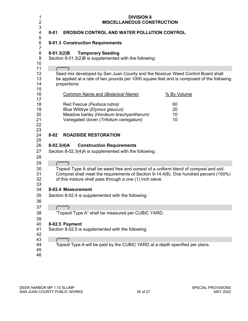| 1<br>$\overline{2}$<br>3                                             | <b>DIVISION 8</b><br><b>MISCELLANEOUS CONSTRUCTION</b>                                                                                                                                                                                    |  |
|----------------------------------------------------------------------|-------------------------------------------------------------------------------------------------------------------------------------------------------------------------------------------------------------------------------------------|--|
| 4<br>5                                                               | $8 - 01$<br><b>EROSION CONTROL AND WATER POLLUTION CONTROL</b>                                                                                                                                                                            |  |
| 6<br>7                                                               | 8-01.3 Construction Requirements                                                                                                                                                                                                          |  |
| 8<br>$\boldsymbol{9}$<br>10                                          | 8-01.3(2)B Temporary Seeding<br>Section 8-01.3(2)B is supplemented with the following:                                                                                                                                                    |  |
| 11<br>12<br>13<br>14<br>15                                           | $(*****")$<br>Seed mix developed by San Juan County and the Noxious Weed Control Board shall<br>be applied at a rate of two pounds per 1000 square feet and is composed of the following<br>proportions:                                  |  |
| 16                                                                   | <b>Common Name and (Botanical Name)</b><br>% By Volume                                                                                                                                                                                    |  |
| 17<br>18<br>19<br>20<br>21<br>22<br>23<br>24<br>25<br>26<br>27<br>28 | Red Fescue (Festuca rubra)<br>60<br>Blue Wildrye (Elymus glaucus)<br>20<br>Meadow barley (Hordeum brachyantherum)<br>10<br>Variegated clover (Trifolium variegatum)<br>10                                                                 |  |
|                                                                      | <b>ROADSIDE RESTORATION</b><br>$8 - 02$                                                                                                                                                                                                   |  |
|                                                                      | $8-02.3(4)A$<br><b>Construction Requirements</b><br>Section 8-02.3(4)A is supplemented with the following:                                                                                                                                |  |
| 29                                                                   | $(*****)$                                                                                                                                                                                                                                 |  |
| 30<br>31<br>32<br>33                                                 | Topsoil Type A shall be weed free and consist of a uniform blend of compost and soil.<br>Compost shall meet the requirements of Section 9-14.4(8). One hundred percent (100%)<br>of this mixture shall pass through a one (1) inch sieve. |  |
| 34                                                                   | 8-02.4 Measurement                                                                                                                                                                                                                        |  |
| 35<br>36                                                             | Section 8-02.4 is supplemented with the following:                                                                                                                                                                                        |  |
| 37                                                                   | $(****)$                                                                                                                                                                                                                                  |  |
| 38<br>39                                                             | "Topsoil Type A" shall be measured per CUBIC YARD.                                                                                                                                                                                        |  |
| 40<br>41<br>42                                                       | 8-02.5 Payment<br>Section 8-02.5 is supplemented with the following:                                                                                                                                                                      |  |
| 43                                                                   | $(*****)$                                                                                                                                                                                                                                 |  |
| 44<br>45<br>46                                                       | Topsoil Type A will be paid by the CUBIC YARD at a depth specified per plans.                                                                                                                                                             |  |